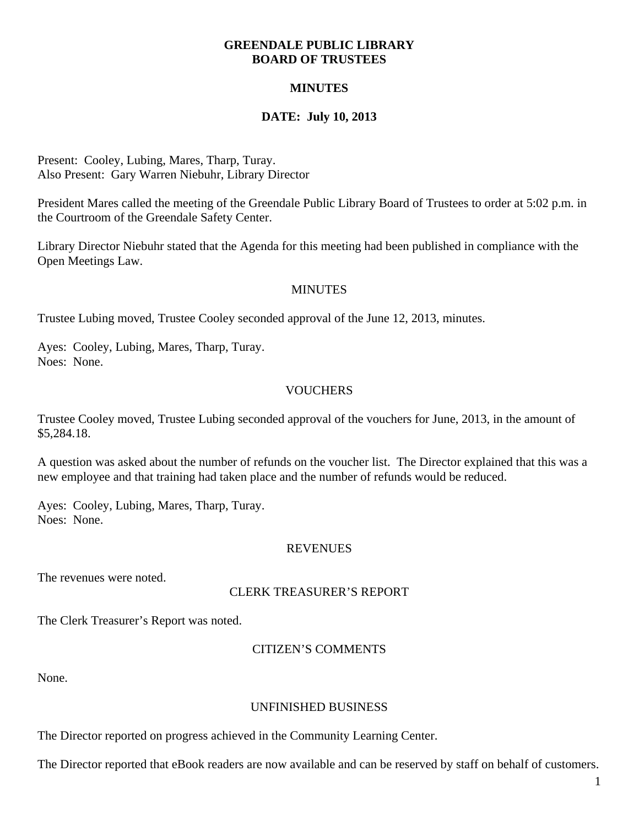## **GREENDALE PUBLIC LIBRARY BOARD OF TRUSTEES**

# **MINUTES**

# **DATE: July 10, 2013**

Present: Cooley, Lubing, Mares, Tharp, Turay. Also Present: Gary Warren Niebuhr, Library Director

President Mares called the meeting of the Greendale Public Library Board of Trustees to order at 5:02 p.m. in the Courtroom of the Greendale Safety Center.

Library Director Niebuhr stated that the Agenda for this meeting had been published in compliance with the Open Meetings Law.

# MINUTES

Trustee Lubing moved, Trustee Cooley seconded approval of the June 12, 2013, minutes.

Ayes: Cooley, Lubing, Mares, Tharp, Turay. Noes: None.

# **VOUCHERS**

Trustee Cooley moved, Trustee Lubing seconded approval of the vouchers for June, 2013, in the amount of \$5,284.18.

A question was asked about the number of refunds on the voucher list. The Director explained that this was a new employee and that training had taken place and the number of refunds would be reduced.

Ayes: Cooley, Lubing, Mares, Tharp, Turay. Noes: None.

## REVENUES

The revenues were noted.

## CLERK TREASURER'S REPORT

The Clerk Treasurer's Report was noted.

# CITIZEN'S COMMENTS

None.

## UNFINISHED BUSINESS

The Director reported on progress achieved in the Community Learning Center.

The Director reported that eBook readers are now available and can be reserved by staff on behalf of customers.